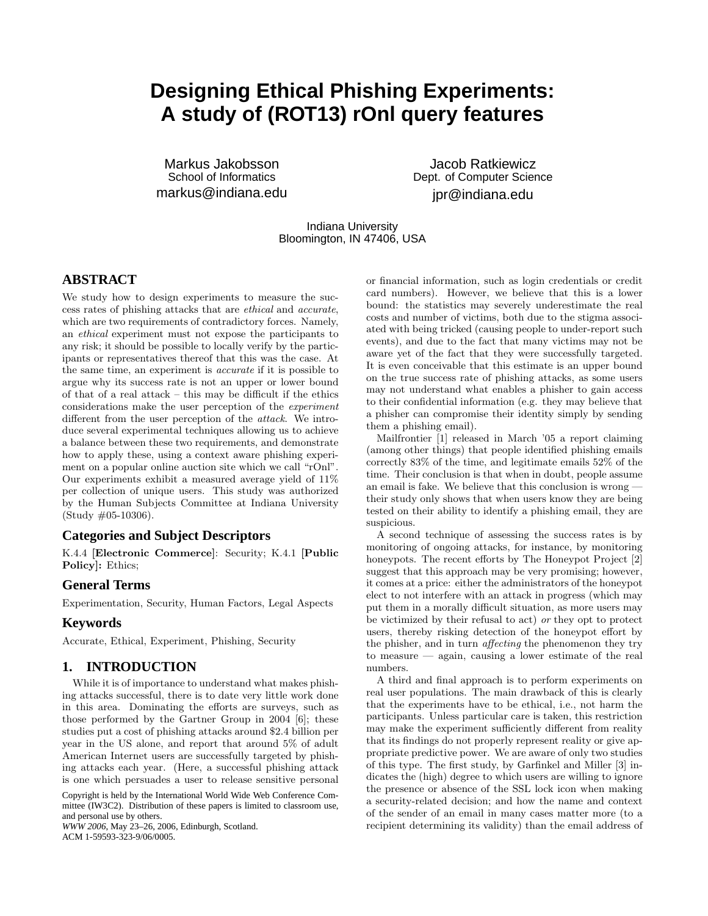# **Designing Ethical Phishing Experiments: A study of (ROT13) rOnl query features**

Markus Jakobsson School of Informatics markus@indiana.edu

Jacob Ratkiewicz Dept. of Computer Science jpr@indiana.edu

Indiana University Bloomington, IN 47406, USA

# **ABSTRACT**

We study how to design experiments to measure the success rates of phishing attacks that are ethical and accurate, which are two requirements of contradictory forces. Namely, an ethical experiment must not expose the participants to any risk; it should be possible to locally verify by the participants or representatives thereof that this was the case. At the same time, an experiment is accurate if it is possible to argue why its success rate is not an upper or lower bound of that of a real attack – this may be difficult if the ethics considerations make the user perception of the experiment different from the user perception of the attack. We introduce several experimental techniques allowing us to achieve a balance between these two requirements, and demonstrate how to apply these, using a context aware phishing experiment on a popular online auction site which we call "rOnl". Our experiments exhibit a measured average yield of 11% per collection of unique users. This study was authorized by the Human Subjects Committee at Indiana University  $(Study #05-10306).$ 

#### **Categories and Subject Descriptors**

K.4.4 [Electronic Commerce]: Security; K.4.1 [Public Policy]: Ethics;

## **General Terms**

Experimentation, Security, Human Factors, Legal Aspects

# **Keywords**

Accurate, Ethical, Experiment, Phishing, Security

# **1. INTRODUCTION**

While it is of importance to understand what makes phishing attacks successful, there is to date very little work done in this area. Dominating the efforts are surveys, such as those performed by the Gartner Group in 2004 [6]; these studies put a cost of phishing attacks around \$2.4 billion per year in the US alone, and report that around 5% of adult American Internet users are successfully targeted by phishing attacks each year. (Here, a successful phishing attack is one which persuades a user to release sensitive personal

Copyright is held by the International World Wide Web Conference Committee (IW3C2). Distribution of these papers is limited to classroom use, and personal use by others.

*WWW 2006*, May 23–26, 2006, Edinburgh, Scotland. ACM 1-59593-323-9/06/0005.

or financial information, such as login credentials or credit card numbers). However, we believe that this is a lower bound: the statistics may severely underestimate the real costs and number of victims, both due to the stigma associated with being tricked (causing people to under-report such events), and due to the fact that many victims may not be aware yet of the fact that they were successfully targeted. It is even conceivable that this estimate is an upper bound on the true success rate of phishing attacks, as some users may not understand what enables a phisher to gain access to their confidential information (e.g. they may believe that a phisher can compromise their identity simply by sending them a phishing email).

Mailfrontier [1] released in March '05 a report claiming (among other things) that people identified phishing emails correctly 83% of the time, and legitimate emails 52% of the time. Their conclusion is that when in doubt, people assume an email is fake. We believe that this conclusion is wrong their study only shows that when users know they are being tested on their ability to identify a phishing email, they are suspicious.

A second technique of assessing the success rates is by monitoring of ongoing attacks, for instance, by monitoring honeypots. The recent efforts by The Honeypot Project [2] suggest that this approach may be very promising; however, it comes at a price: either the administrators of the honeypot elect to not interfere with an attack in progress (which may put them in a morally difficult situation, as more users may be victimized by their refusal to act) or they opt to protect users, thereby risking detection of the honeypot effort by the phisher, and in turn affecting the phenomenon they try to measure — again, causing a lower estimate of the real numbers.

A third and final approach is to perform experiments on real user populations. The main drawback of this is clearly that the experiments have to be ethical, i.e., not harm the participants. Unless particular care is taken, this restriction may make the experiment sufficiently different from reality that its findings do not properly represent reality or give appropriate predictive power. We are aware of only two studies of this type. The first study, by Garfinkel and Miller [3] indicates the (high) degree to which users are willing to ignore the presence or absence of the SSL lock icon when making a security-related decision; and how the name and context of the sender of an email in many cases matter more (to a recipient determining its validity) than the email address of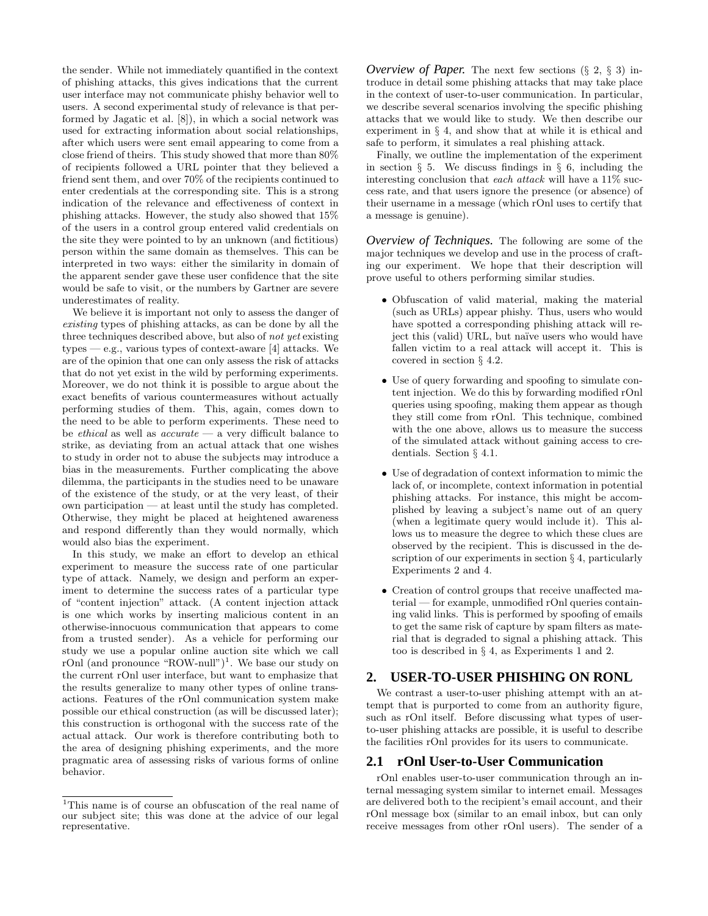the sender. While not immediately quantified in the context of phishing attacks, this gives indications that the current user interface may not communicate phishy behavior well to users. A second experimental study of relevance is that performed by Jagatic et al. [8]), in which a social network was used for extracting information about social relationships, after which users were sent email appearing to come from a close friend of theirs. This study showed that more than 80% of recipients followed a URL pointer that they believed a friend sent them, and over 70% of the recipients continued to enter credentials at the corresponding site. This is a strong indication of the relevance and effectiveness of context in phishing attacks. However, the study also showed that 15% of the users in a control group entered valid credentials on the site they were pointed to by an unknown (and fictitious) person within the same domain as themselves. This can be interpreted in two ways: either the similarity in domain of the apparent sender gave these user confidence that the site would be safe to visit, or the numbers by Gartner are severe underestimates of reality.

We believe it is important not only to assess the danger of existing types of phishing attacks, as can be done by all the three techniques described above, but also of not yet existing types — e.g., various types of context-aware [4] attacks. We are of the opinion that one can only assess the risk of attacks that do not yet exist in the wild by performing experiments. Moreover, we do not think it is possible to argue about the exact benefits of various countermeasures without actually performing studies of them. This, again, comes down to the need to be able to perform experiments. These need to be *ethical* as well as  $accurate$  — a very difficult balance to strike, as deviating from an actual attack that one wishes to study in order not to abuse the subjects may introduce a bias in the measurements. Further complicating the above dilemma, the participants in the studies need to be unaware of the existence of the study, or at the very least, of their own participation — at least until the study has completed. Otherwise, they might be placed at heightened awareness and respond differently than they would normally, which would also bias the experiment.

In this study, we make an effort to develop an ethical experiment to measure the success rate of one particular type of attack. Namely, we design and perform an experiment to determine the success rates of a particular type of "content injection" attack. (A content injection attack is one which works by inserting malicious content in an otherwise-innocuous communication that appears to come from a trusted sender). As a vehicle for performing our study we use a popular online auction site which we call rOnl (and pronounce "ROW-null")<sup>1</sup>. We base our study on the current rOnl user interface, but want to emphasize that the results generalize to many other types of online transactions. Features of the rOnl communication system make possible our ethical construction (as will be discussed later); this construction is orthogonal with the success rate of the actual attack. Our work is therefore contributing both to the area of designing phishing experiments, and the more pragmatic area of assessing risks of various forms of online behavior.

*Overview of Paper.* The next few sections (§ 2, § 3) introduce in detail some phishing attacks that may take place in the context of user-to-user communication. In particular, we describe several scenarios involving the specific phishing attacks that we would like to study. We then describe our experiment in § 4, and show that at while it is ethical and safe to perform, it simulates a real phishing attack.

Finally, we outline the implementation of the experiment in section  $\S$  5. We discuss findings in  $\S$  6, including the interesting conclusion that *each attack* will have a 11% success rate, and that users ignore the presence (or absence) of their username in a message (which rOnl uses to certify that a message is genuine).

*Overview of Techniques.* The following are some of the major techniques we develop and use in the process of crafting our experiment. We hope that their description will prove useful to others performing similar studies.

- Obfuscation of valid material, making the material (such as URLs) appear phishy. Thus, users who would have spotted a corresponding phishing attack will reject this (valid) URL, but naïve users who would have fallen victim to a real attack will accept it. This is covered in section § 4.2.
- Use of query forwarding and spoofing to simulate content injection. We do this by forwarding modified rOnl queries using spoofing, making them appear as though they still come from rOnl. This technique, combined with the one above, allows us to measure the success of the simulated attack without gaining access to credentials. Section § 4.1.
- Use of degradation of context information to mimic the lack of, or incomplete, context information in potential phishing attacks. For instance, this might be accomplished by leaving a subject's name out of an query (when a legitimate query would include it). This allows us to measure the degree to which these clues are observed by the recipient. This is discussed in the description of our experiments in section § 4, particularly Experiments 2 and 4.
- Creation of control groups that receive unaffected material — for example, unmodified rOnl queries containing valid links. This is performed by spoofing of emails to get the same risk of capture by spam filters as material that is degraded to signal a phishing attack. This too is described in § 4, as Experiments 1 and 2.

# **2. USER-TO-USER PHISHING ON RONL**

We contrast a user-to-user phishing attempt with an attempt that is purported to come from an authority figure, such as rOnl itself. Before discussing what types of userto-user phishing attacks are possible, it is useful to describe the facilities rOnl provides for its users to communicate.

# **2.1 rOnl User-to-User Communication**

rOnl enables user-to-user communication through an internal messaging system similar to internet email. Messages are delivered both to the recipient's email account, and their rOnl message box (similar to an email inbox, but can only receive messages from other rOnl users). The sender of a

<sup>1</sup>This name is of course an obfuscation of the real name of our subject site; this was done at the advice of our legal representative.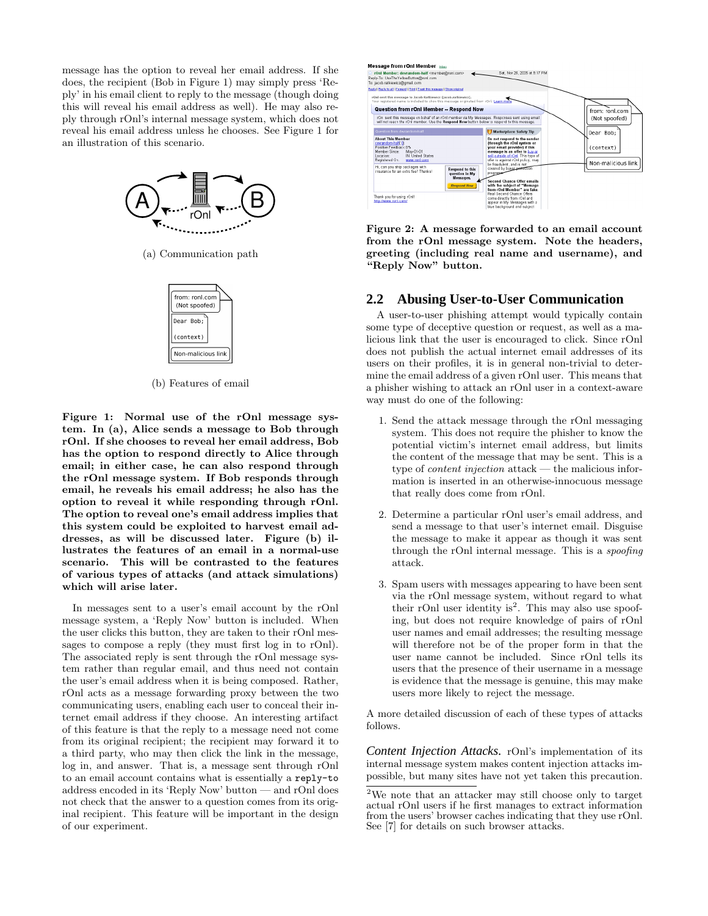message has the option to reveal her email address. If she does, the recipient (Bob in Figure 1) may simply press 'Reply' in his email client to reply to the message (though doing this will reveal his email address as well). He may also reply through rOnl's internal message system, which does not reveal his email address unless he chooses. See Figure 1 for an illustration of this scenario.



(a) Communication path



(b) Features of email

Figure 1: Normal use of the rOnl message system. In (a), Alice sends a message to Bob through rOnl. If she chooses to reveal her email address, Bob has the option to respond directly to Alice through email; in either case, he can also respond through the rOnl message system. If Bob responds through email, he reveals his email address; he also has the option to reveal it while responding through rOnl. The option to reveal one's email address implies that this system could be exploited to harvest email addresses, as will be discussed later. Figure (b) illustrates the features of an email in a normal-use scenario. This will be contrasted to the features of various types of attacks (and attack simulations) which will arise later.

In messages sent to a user's email account by the rOnl message system, a 'Reply Now' button is included. When the user clicks this button, they are taken to their rOnl messages to compose a reply (they must first log in to rOnl). The associated reply is sent through the rOnl message system rather than regular email, and thus need not contain the user's email address when it is being composed. Rather, rOnl acts as a message forwarding proxy between the two communicating users, enabling each user to conceal their internet email address if they choose. An interesting artifact of this feature is that the reply to a message need not come from its original recipient; the recipient may forward it to a third party, who may then click the link in the message, log in, and answer. That is, a message sent through rOnl to an email account contains what is essentially a reply-to address encoded in its 'Reply Now' button — and rOnl does not check that the answer to a question comes from its original recipient. This feature will be important in the design of our experiment.



Figure 2: A message forwarded to an email account from the rOnl message system. Note the headers, greeting (including real name and username), and "Reply Now" button.

#### **2.2 Abusing User-to-User Communication**

A user-to-user phishing attempt would typically contain some type of deceptive question or request, as well as a malicious link that the user is encouraged to click. Since rOnl does not publish the actual internet email addresses of its users on their profiles, it is in general non-trivial to determine the email address of a given rOnl user. This means that a phisher wishing to attack an rOnl user in a context-aware way must do one of the following:

- 1. Send the attack message through the rOnl messaging system. This does not require the phisher to know the potential victim's internet email address, but limits the content of the message that may be sent. This is a type of content injection attack — the malicious information is inserted in an otherwise-innocuous message that really does come from rOnl.
- 2. Determine a particular rOnl user's email address, and send a message to that user's internet email. Disguise the message to make it appear as though it was sent through the rOnl internal message. This is a spoofing attack.
- 3. Spam users with messages appearing to have been sent via the rOnl message system, without regard to what their rOnl user identity is<sup>2</sup>. This may also use spoofing, but does not require knowledge of pairs of rOnl user names and email addresses; the resulting message will therefore not be of the proper form in that the user name cannot be included. Since rOnl tells its users that the presence of their username in a message is evidence that the message is genuine, this may make users more likely to reject the message.

A more detailed discussion of each of these types of attacks follows.

*Content Injection Attacks.* rOnl's implementation of its internal message system makes content injection attacks impossible, but many sites have not yet taken this precaution.

<sup>&</sup>lt;sup>2</sup>We note that an attacker may still choose only to target actual rOnl users if he first manages to extract information from the users' browser caches indicating that they use rOnl. See [7] for details on such browser attacks.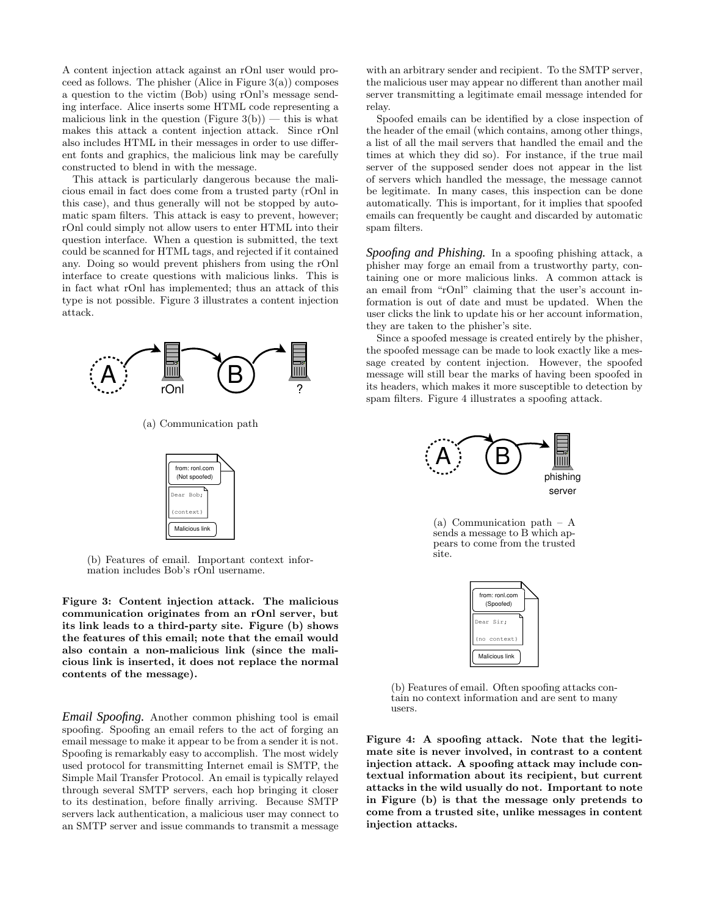A content injection attack against an rOnl user would proceed as follows. The phisher (Alice in Figure  $3(a)$ ) composes a question to the victim (Bob) using rOnl's message sending interface. Alice inserts some HTML code representing a malicious link in the question (Figure  $3(b)$ ) — this is what makes this attack a content injection attack. Since rOnl also includes HTML in their messages in order to use different fonts and graphics, the malicious link may be carefully constructed to blend in with the message.

This attack is particularly dangerous because the malicious email in fact does come from a trusted party (rOnl in this case), and thus generally will not be stopped by automatic spam filters. This attack is easy to prevent, however; rOnl could simply not allow users to enter HTML into their question interface. When a question is submitted, the text could be scanned for HTML tags, and rejected if it contained any. Doing so would prevent phishers from using the rOnl interface to create questions with malicious links. This is in fact what rOnl has implemented; thus an attack of this type is not possible. Figure 3 illustrates a content injection attack.



(a) Communication path



(b) Features of email. Important context information includes Bob's rOnl username.

Figure 3: Content injection attack. The malicious communication originates from an rOnl server, but its link leads to a third-party site. Figure (b) shows the features of this email; note that the email would also contain a non-malicious link (since the malicious link is inserted, it does not replace the normal contents of the message).

*Email Spoofing.* Another common phishing tool is email spoofing. Spoofing an email refers to the act of forging an email message to make it appear to be from a sender it is not. Spoofing is remarkably easy to accomplish. The most widely used protocol for transmitting Internet email is SMTP, the Simple Mail Transfer Protocol. An email is typically relayed through several SMTP servers, each hop bringing it closer to its destination, before finally arriving. Because SMTP servers lack authentication, a malicious user may connect to an SMTP server and issue commands to transmit a message

with an arbitrary sender and recipient. To the SMTP server, the malicious user may appear no different than another mail server transmitting a legitimate email message intended for relay.

Spoofed emails can be identified by a close inspection of the header of the email (which contains, among other things, a list of all the mail servers that handled the email and the times at which they did so). For instance, if the true mail server of the supposed sender does not appear in the list of servers which handled the message, the message cannot be legitimate. In many cases, this inspection can be done automatically. This is important, for it implies that spoofed emails can frequently be caught and discarded by automatic spam filters.

*Spoofing and Phishing.* In a spoofing phishing attack, a phisher may forge an email from a trustworthy party, containing one or more malicious links. A common attack is an email from "rOnl" claiming that the user's account information is out of date and must be updated. When the user clicks the link to update his or her account information, they are taken to the phisher's site.

Since a spoofed message is created entirely by the phisher, the spoofed message can be made to look exactly like a message created by content injection. However, the spoofed message will still bear the marks of having been spoofed in its headers, which makes it more susceptible to detection by spam filters. Figure 4 illustrates a spoofing attack.



(a) Communication path – A sends a message to B which appears to come from the trusted site.



(b) Features of email. Often spoofing attacks contain no context information and are sent to many users.

Figure 4: A spoofing attack. Note that the legitimate site is never involved, in contrast to a content injection attack. A spoofing attack may include contextual information about its recipient, but current attacks in the wild usually do not. Important to note in Figure (b) is that the message only pretends to come from a trusted site, unlike messages in content injection attacks.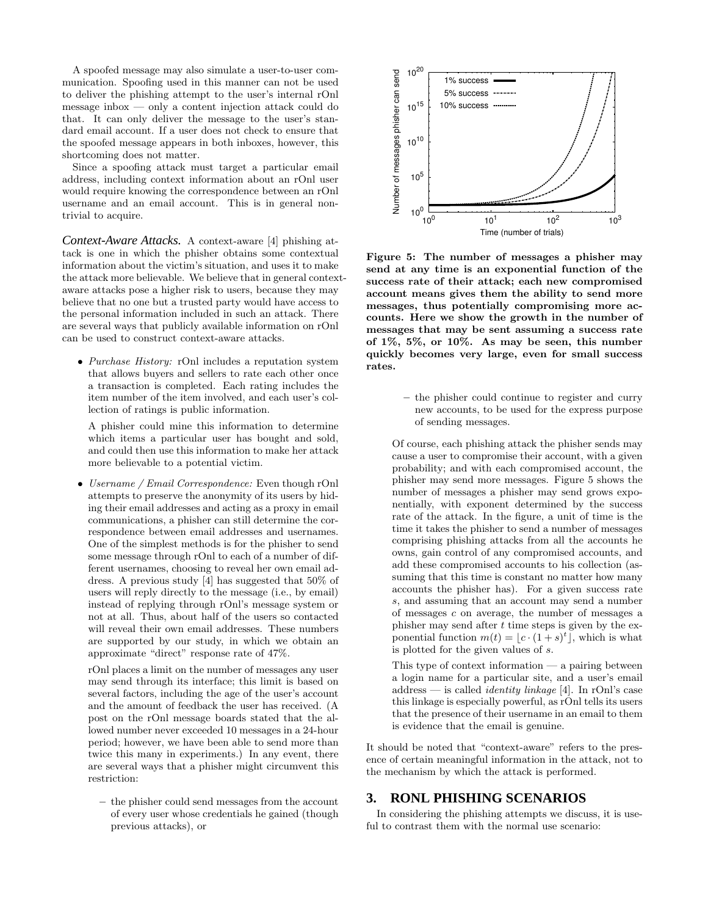A spoofed message may also simulate a user-to-user communication. Spoofing used in this manner can not be used to deliver the phishing attempt to the user's internal rOnl message inbox — only a content injection attack could do that. It can only deliver the message to the user's standard email account. If a user does not check to ensure that the spoofed message appears in both inboxes, however, this shortcoming does not matter.

Since a spoofing attack must target a particular email address, including context information about an rOnl user would require knowing the correspondence between an rOnl username and an email account. This is in general nontrivial to acquire.

*Context-Aware Attacks.* A context-aware [4] phishing attack is one in which the phisher obtains some contextual information about the victim's situation, and uses it to make the attack more believable. We believe that in general contextaware attacks pose a higher risk to users, because they may believe that no one but a trusted party would have access to the personal information included in such an attack. There are several ways that publicly available information on rOnl can be used to construct context-aware attacks.

• *Purchase History:* rOnl includes a reputation system that allows buyers and sellers to rate each other once a transaction is completed. Each rating includes the item number of the item involved, and each user's collection of ratings is public information.

A phisher could mine this information to determine which items a particular user has bought and sold, and could then use this information to make her attack more believable to a potential victim.

• Username / Email Correspondence: Even though rOnl attempts to preserve the anonymity of its users by hiding their email addresses and acting as a proxy in email communications, a phisher can still determine the correspondence between email addresses and usernames. One of the simplest methods is for the phisher to send some message through rOnl to each of a number of different usernames, choosing to reveal her own email address. A previous study [4] has suggested that 50% of users will reply directly to the message (i.e., by email) instead of replying through rOnl's message system or not at all. Thus, about half of the users so contacted will reveal their own email addresses. These numbers are supported by our study, in which we obtain an approximate "direct" response rate of 47%.

rOnl places a limit on the number of messages any user may send through its interface; this limit is based on several factors, including the age of the user's account and the amount of feedback the user has received. (A post on the rOnl message boards stated that the allowed number never exceeded 10 messages in a 24-hour period; however, we have been able to send more than twice this many in experiments.) In any event, there are several ways that a phisher might circumvent this restriction:

– the phisher could send messages from the account of every user whose credentials he gained (though previous attacks), or



Figure 5: The number of messages a phisher may send at any time is an exponential function of the success rate of their attack; each new compromised account means gives them the ability to send more messages, thus potentially compromising more accounts. Here we show the growth in the number of messages that may be sent assuming a success rate of 1%, 5%, or 10%. As may be seen, this number quickly becomes very large, even for small success rates.

– the phisher could continue to register and curry new accounts, to be used for the express purpose of sending messages.

Of course, each phishing attack the phisher sends may cause a user to compromise their account, with a given probability; and with each compromised account, the phisher may send more messages. Figure 5 shows the number of messages a phisher may send grows exponentially, with exponent determined by the success rate of the attack. In the figure, a unit of time is the time it takes the phisher to send a number of messages comprising phishing attacks from all the accounts he owns, gain control of any compromised accounts, and add these compromised accounts to his collection (assuming that this time is constant no matter how many accounts the phisher has). For a given success rate s, and assuming that an account may send a number of messages c on average, the number of messages a phisher may send after  $t$  time steps is given by the exponential function  $m(t) = |c \cdot (1 + s)^t|$ , which is what is plotted for the given values of s.

This type of context information  $-$  a pairing between a login name for a particular site, and a user's email address — is called *identity linkage* [4]. In rOnl's case this linkage is especially powerful, as rOnl tells its users that the presence of their username in an email to them is evidence that the email is genuine.

It should be noted that "context-aware" refers to the presence of certain meaningful information in the attack, not to the mechanism by which the attack is performed.

## **3. RONL PHISHING SCENARIOS**

In considering the phishing attempts we discuss, it is useful to contrast them with the normal use scenario: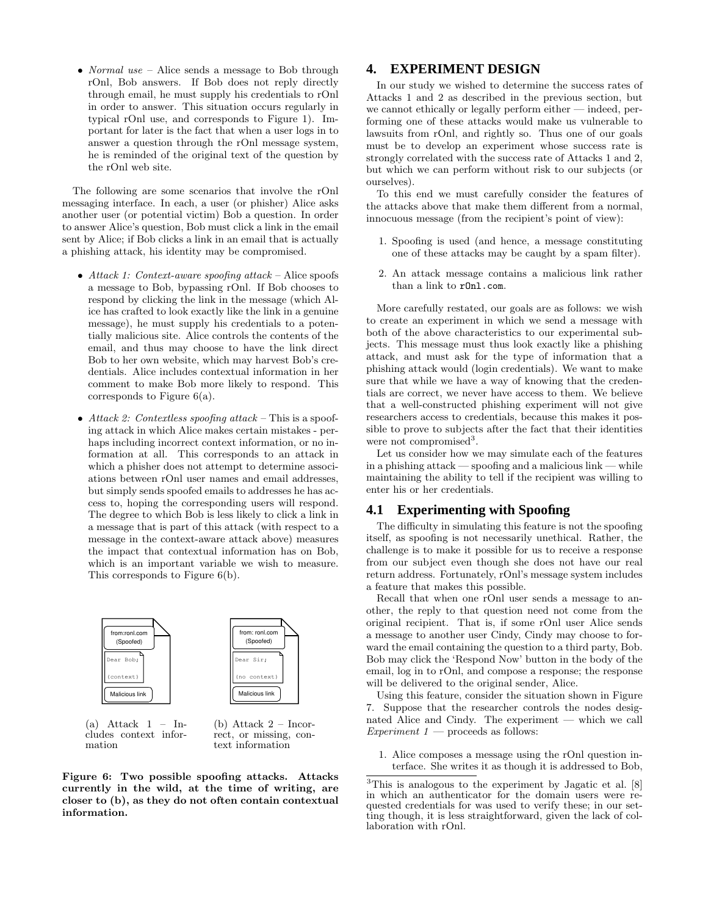• *Normal use* – Alice sends a message to Bob through rOnl, Bob answers. If Bob does not reply directly through email, he must supply his credentials to rOnl in order to answer. This situation occurs regularly in typical rOnl use, and corresponds to Figure 1). Important for later is the fact that when a user logs in to answer a question through the rOnl message system, he is reminded of the original text of the question by the rOnl web site.

The following are some scenarios that involve the rOnl messaging interface. In each, a user (or phisher) Alice asks another user (or potential victim) Bob a question. In order to answer Alice's question, Bob must click a link in the email sent by Alice; if Bob clicks a link in an email that is actually a phishing attack, his identity may be compromised.

- Attack 1: Context-aware spoofing attack Alice spoofs a message to Bob, bypassing rOnl. If Bob chooses to respond by clicking the link in the message (which Alice has crafted to look exactly like the link in a genuine message), he must supply his credentials to a potentially malicious site. Alice controls the contents of the email, and thus may choose to have the link direct Bob to her own website, which may harvest Bob's credentials. Alice includes contextual information in her comment to make Bob more likely to respond. This corresponds to Figure 6(a).
- Attack 2: Contextless spoofing attack This is a spoofing attack in which Alice makes certain mistakes - perhaps including incorrect context information, or no information at all. This corresponds to an attack in which a phisher does not attempt to determine associations between rOnl user names and email addresses, but simply sends spoofed emails to addresses he has access to, hoping the corresponding users will respond. The degree to which Bob is less likely to click a link in a message that is part of this attack (with respect to a message in the context-aware attack above) measures the impact that contextual information has on Bob, which is an important variable we wish to measure. This corresponds to Figure 6(b).





(b) Attack  $2 -$  Incorrect, or missing, context information

Figure 6: Two possible spoofing attacks. Attacks currently in the wild, at the time of writing, are closer to (b), as they do not often contain contextual information.

## **4. EXPERIMENT DESIGN**

In our study we wished to determine the success rates of Attacks 1 and 2 as described in the previous section, but we cannot ethically or legally perform either — indeed, performing one of these attacks would make us vulnerable to lawsuits from rOnl, and rightly so. Thus one of our goals must be to develop an experiment whose success rate is strongly correlated with the success rate of Attacks 1 and 2, but which we can perform without risk to our subjects (or ourselves).

To this end we must carefully consider the features of the attacks above that make them different from a normal, innocuous message (from the recipient's point of view):

- 1. Spoofing is used (and hence, a message constituting one of these attacks may be caught by a spam filter).
- 2. An attack message contains a malicious link rather than a link to rOnl.com.

More carefully restated, our goals are as follows: we wish to create an experiment in which we send a message with both of the above characteristics to our experimental subjects. This message must thus look exactly like a phishing attack, and must ask for the type of information that a phishing attack would (login credentials). We want to make sure that while we have a way of knowing that the credentials are correct, we never have access to them. We believe that a well-constructed phishing experiment will not give researchers access to credentials, because this makes it possible to prove to subjects after the fact that their identities were not compromised<sup>3</sup>.

Let us consider how we may simulate each of the features in a phishing attack — spoofing and a malicious link — while maintaining the ability to tell if the recipient was willing to enter his or her credentials.

# **4.1 Experimenting with Spoofing**

The difficulty in simulating this feature is not the spoofing itself, as spoofing is not necessarily unethical. Rather, the challenge is to make it possible for us to receive a response from our subject even though she does not have our real return address. Fortunately, rOnl's message system includes a feature that makes this possible.

Recall that when one rOnl user sends a message to another, the reply to that question need not come from the original recipient. That is, if some rOnl user Alice sends a message to another user Cindy, Cindy may choose to forward the email containing the question to a third party, Bob. Bob may click the 'Respond Now' button in the body of the email, log in to rOnl, and compose a response; the response will be delivered to the original sender, Alice.

Using this feature, consider the situation shown in Figure 7. Suppose that the researcher controls the nodes designated Alice and Cindy. The experiment — which we call Experiment  $1$  — proceeds as follows:

1. Alice composes a message using the rOnl question interface. She writes it as though it is addressed to Bob,

<sup>&</sup>lt;sup>3</sup>This is analogous to the experiment by Jagatic et al. [8] in which an authenticator for the domain users were requested credentials for was used to verify these; in our setting though, it is less straightforward, given the lack of collaboration with rOnl.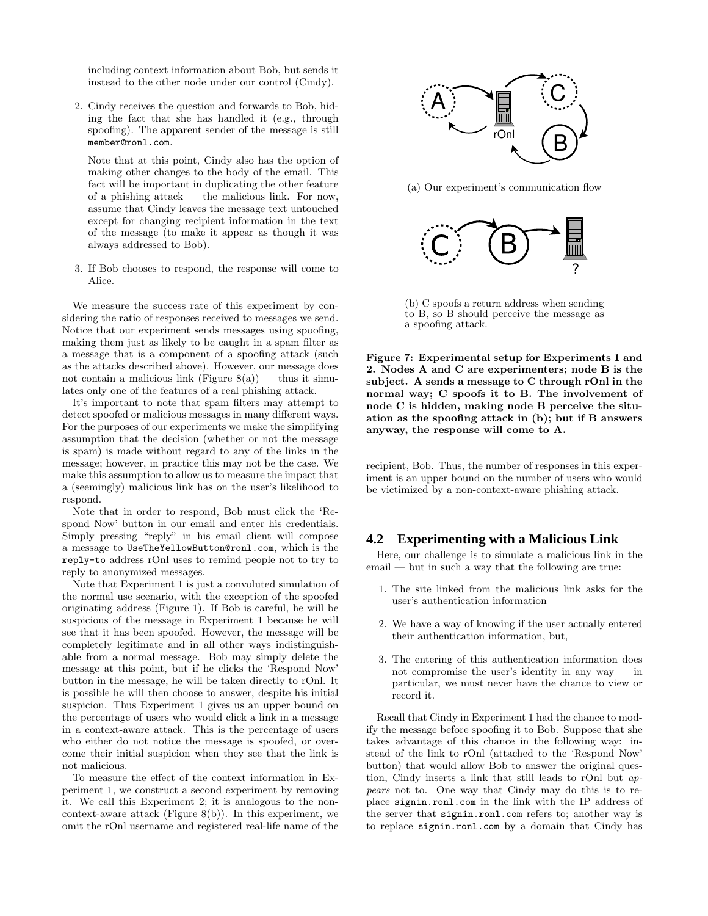including context information about Bob, but sends it instead to the other node under our control (Cindy).

2. Cindy receives the question and forwards to Bob, hiding the fact that she has handled it (e.g., through spoofing). The apparent sender of the message is still member@ronl.com.

Note that at this point, Cindy also has the option of making other changes to the body of the email. This fact will be important in duplicating the other feature of a phishing attack — the malicious link. For now, assume that Cindy leaves the message text untouched except for changing recipient information in the text of the message (to make it appear as though it was always addressed to Bob).

3. If Bob chooses to respond, the response will come to Alice.

We measure the success rate of this experiment by considering the ratio of responses received to messages we send. Notice that our experiment sends messages using spoofing, making them just as likely to be caught in a spam filter as a message that is a component of a spoofing attack (such as the attacks described above). However, our message does not contain a malicious link (Figure  $8(a)$ ) — thus it simulates only one of the features of a real phishing attack.

It's important to note that spam filters may attempt to detect spoofed or malicious messages in many different ways. For the purposes of our experiments we make the simplifying assumption that the decision (whether or not the message is spam) is made without regard to any of the links in the message; however, in practice this may not be the case. We make this assumption to allow us to measure the impact that a (seemingly) malicious link has on the user's likelihood to respond.

Note that in order to respond, Bob must click the 'Respond Now' button in our email and enter his credentials. Simply pressing "reply" in his email client will compose a message to UseTheYellowButton@ronl.com, which is the reply-to address rOnl uses to remind people not to try to reply to anonymized messages.

Note that Experiment 1 is just a convoluted simulation of the normal use scenario, with the exception of the spoofed originating address (Figure 1). If Bob is careful, he will be suspicious of the message in Experiment 1 because he will see that it has been spoofed. However, the message will be completely legitimate and in all other ways indistinguishable from a normal message. Bob may simply delete the message at this point, but if he clicks the 'Respond Now' button in the message, he will be taken directly to rOnl. It is possible he will then choose to answer, despite his initial suspicion. Thus Experiment 1 gives us an upper bound on the percentage of users who would click a link in a message in a context-aware attack. This is the percentage of users who either do not notice the message is spoofed, or overcome their initial suspicion when they see that the link is not malicious.

To measure the effect of the context information in Experiment 1, we construct a second experiment by removing it. We call this Experiment 2; it is analogous to the noncontext-aware attack (Figure 8(b)). In this experiment, we omit the rOnl username and registered real-life name of the



(a) Our experiment's communication flow



(b) C spoofs a return address when sending to B, so B should perceive the message as a spoofing attack.

Figure 7: Experimental setup for Experiments 1 and 2. Nodes A and C are experimenters; node B is the subject. A sends a message to C through rOnl in the normal way; C spoofs it to B. The involvement of node C is hidden, making node B perceive the situation as the spoofing attack in (b); but if B answers anyway, the response will come to A.

recipient, Bob. Thus, the number of responses in this experiment is an upper bound on the number of users who would be victimized by a non-context-aware phishing attack.

#### **4.2 Experimenting with a Malicious Link**

Here, our challenge is to simulate a malicious link in the email — but in such a way that the following are true:

- 1. The site linked from the malicious link asks for the user's authentication information
- 2. We have a way of knowing if the user actually entered their authentication information, but,
- 3. The entering of this authentication information does not compromise the user's identity in any way  $-$  in particular, we must never have the chance to view or record it.

Recall that Cindy in Experiment 1 had the chance to modify the message before spoofing it to Bob. Suppose that she takes advantage of this chance in the following way: instead of the link to rOnl (attached to the 'Respond Now' button) that would allow Bob to answer the original question, Cindy inserts a link that still leads to rOnl but appears not to. One way that Cindy may do this is to replace signin.ronl.com in the link with the IP address of the server that signin.ronl.com refers to; another way is to replace signin.ronl.com by a domain that Cindy has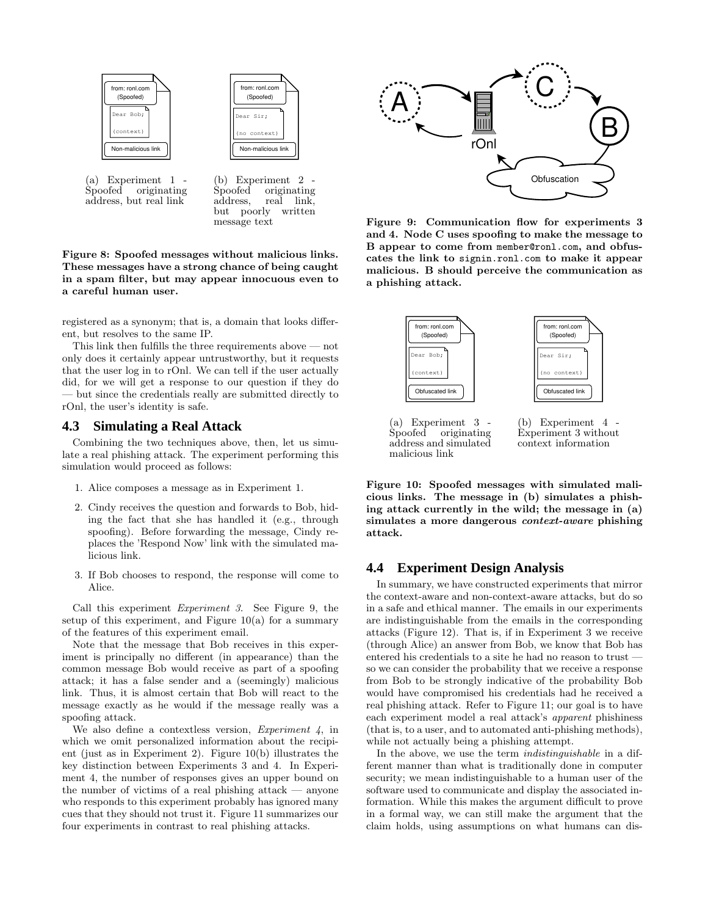



(a) Experiment 1 - Spoofed originating address, but real link

(b) Experiment 2 -<br>Spoofed originating originating address, real link, but poorly written message text

#### Figure 8: Spoofed messages without malicious links. These messages have a strong chance of being caught in a spam filter, but may appear innocuous even to a careful human user.

registered as a synonym; that is, a domain that looks different, but resolves to the same IP.

This link then fulfills the three requirements above — not only does it certainly appear untrustworthy, but it requests that the user log in to rOnl. We can tell if the user actually did, for we will get a response to our question if they do — but since the credentials really are submitted directly to rOnl, the user's identity is safe.

#### **4.3 Simulating a Real Attack**

Combining the two techniques above, then, let us simulate a real phishing attack. The experiment performing this simulation would proceed as follows:

- 1. Alice composes a message as in Experiment 1.
- 2. Cindy receives the question and forwards to Bob, hiding the fact that she has handled it (e.g., through spoofing). Before forwarding the message, Cindy replaces the 'Respond Now' link with the simulated malicious link.
- 3. If Bob chooses to respond, the response will come to Alice.

Call this experiment Experiment 3. See Figure 9, the setup of this experiment, and Figure  $10(a)$  for a summary of the features of this experiment email.

Note that the message that Bob receives in this experiment is principally no different (in appearance) than the common message Bob would receive as part of a spoofing attack; it has a false sender and a (seemingly) malicious link. Thus, it is almost certain that Bob will react to the message exactly as he would if the message really was a spoofing attack.

We also define a contextless version, *Experiment 4*, in which we omit personalized information about the recipient (just as in Experiment 2). Figure 10(b) illustrates the key distinction between Experiments 3 and 4. In Experiment 4, the number of responses gives an upper bound on the number of victims of a real phishing attack — anyone who responds to this experiment probably has ignored many cues that they should not trust it. Figure 11 summarizes our four experiments in contrast to real phishing attacks.



Figure 9: Communication flow for experiments 3 and 4. Node C uses spoofing to make the message to B appear to come from member@ronl.com, and obfuscates the link to signin.ronl.com to make it appear malicious. B should perceive the communication as a phishing attack.



(a) Experiment 3 originating address and simulated malicious link

(b) Experiment 4 - Experiment 3 without context information

Figure 10: Spoofed messages with simulated malicious links. The message in (b) simulates a phishing attack currently in the wild; the message in (a) simulates a more dangerous context-aware phishing attack.

#### **4.4 Experiment Design Analysis**

In summary, we have constructed experiments that mirror the context-aware and non-context-aware attacks, but do so in a safe and ethical manner. The emails in our experiments are indistinguishable from the emails in the corresponding attacks (Figure 12). That is, if in Experiment 3 we receive (through Alice) an answer from Bob, we know that Bob has entered his credentials to a site he had no reason to trust so we can consider the probability that we receive a response from Bob to be strongly indicative of the probability Bob would have compromised his credentials had he received a real phishing attack. Refer to Figure 11; our goal is to have each experiment model a real attack's apparent phishiness (that is, to a user, and to automated anti-phishing methods), while not actually being a phishing attempt.

In the above, we use the term *indistinguishable* in a different manner than what is traditionally done in computer security; we mean indistinguishable to a human user of the software used to communicate and display the associated information. While this makes the argument difficult to prove in a formal way, we can still make the argument that the claim holds, using assumptions on what humans can dis-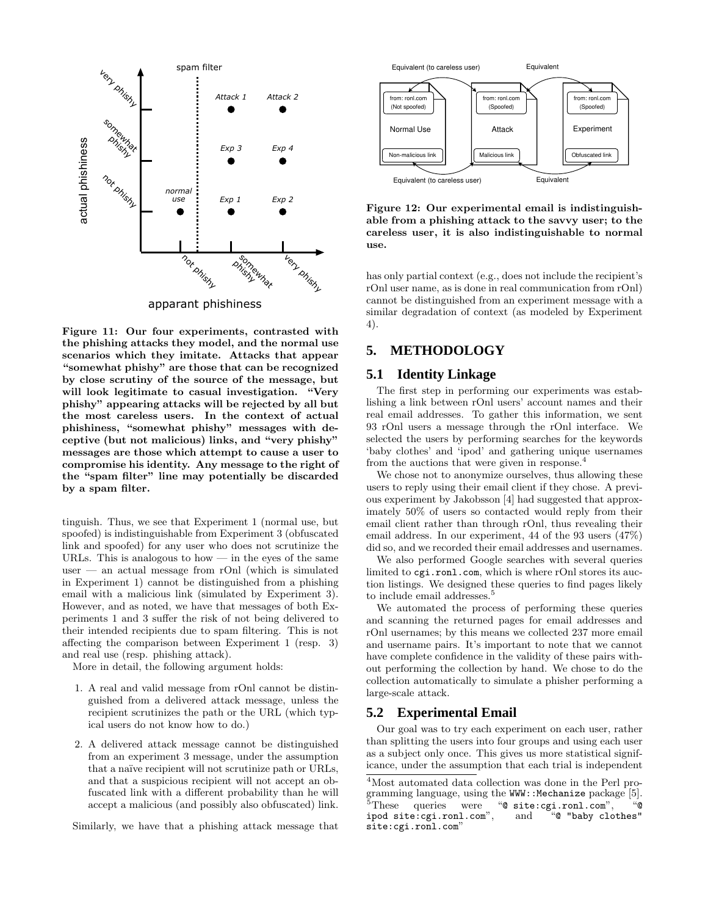

Figure 11: Our four experiments, contrasted with the phishing attacks they model, and the normal use scenarios which they imitate. Attacks that appear "somewhat phishy" are those that can be recognized by close scrutiny of the source of the message, but will look legitimate to casual investigation. "Very phishy" appearing attacks will be rejected by all but the most careless users. In the context of actual phishiness, "somewhat phishy" messages with deceptive (but not malicious) links, and "very phishy" messages are those which attempt to cause a user to compromise his identity. Any message to the right of the "spam filter" line may potentially be discarded by a spam filter.

tinguish. Thus, we see that Experiment 1 (normal use, but spoofed) is indistinguishable from Experiment 3 (obfuscated link and spoofed) for any user who does not scrutinize the URLs. This is analogous to how  $\frac{1}{10}$  in the eyes of the same user — an actual message from rOnl (which is simulated in Experiment 1) cannot be distinguished from a phishing email with a malicious link (simulated by Experiment 3). However, and as noted, we have that messages of both Experiments 1 and 3 suffer the risk of not being delivered to their intended recipients due to spam filtering. This is not affecting the comparison between Experiment 1 (resp. 3) and real use (resp. phishing attack).

More in detail, the following argument holds:

- 1. A real and valid message from rOnl cannot be distinguished from a delivered attack message, unless the recipient scrutinizes the path or the URL (which typical users do not know how to do.)
- 2. A delivered attack message cannot be distinguished from an experiment 3 message, under the assumption that a naïve recipient will not scrutinize path or URLs, and that a suspicious recipient will not accept an obfuscated link with a different probability than he will accept a malicious (and possibly also obfuscated) link.

Similarly, we have that a phishing attack message that



Figure 12: Our experimental email is indistinguishable from a phishing attack to the savvy user; to the careless user, it is also indistinguishable to normal use.

has only partial context (e.g., does not include the recipient's rOnl user name, as is done in real communication from rOnl) cannot be distinguished from an experiment message with a similar degradation of context (as modeled by Experiment 4).

# **5. METHODOLOGY**

## **5.1 Identity Linkage**

The first step in performing our experiments was establishing a link between rOnl users' account names and their real email addresses. To gather this information, we sent 93 rOnl users a message through the rOnl interface. We selected the users by performing searches for the keywords 'baby clothes' and 'ipod' and gathering unique usernames from the auctions that were given in response.<sup>4</sup>

We chose not to anonymize ourselves, thus allowing these users to reply using their email client if they chose. A previous experiment by Jakobsson [4] had suggested that approximately 50% of users so contacted would reply from their email client rather than through rOnl, thus revealing their email address. In our experiment, 44 of the 93 users (47%) did so, and we recorded their email addresses and usernames.

We also performed Google searches with several queries limited to  $cgi.ron1.com$ , which is where rOnl stores its auction listings. We designed these queries to find pages likely to include email addresses.<sup>5</sup>

We automated the process of performing these queries and scanning the returned pages for email addresses and rOnl usernames; by this means we collected 237 more email and username pairs. It's important to note that we cannot have complete confidence in the validity of these pairs without performing the collection by hand. We chose to do the collection automatically to simulate a phisher performing a large-scale attack.

#### **5.2 Experimental Email**

Our goal was to try each experiment on each user, rather than splitting the users into four groups and using each user as a subject only once. This gives us more statistical significance, under the assumption that each trial is independent

<sup>4</sup>Most automated data collection was done in the Perl programming language, using the WWW::Mechanize package [5].  ${}^{5}$ These queries were "@ site:cgi.ronl.com", "@ ipod site:cgi.ronl.com", and "@ "baby clothes" site:cgi.ronl.com"